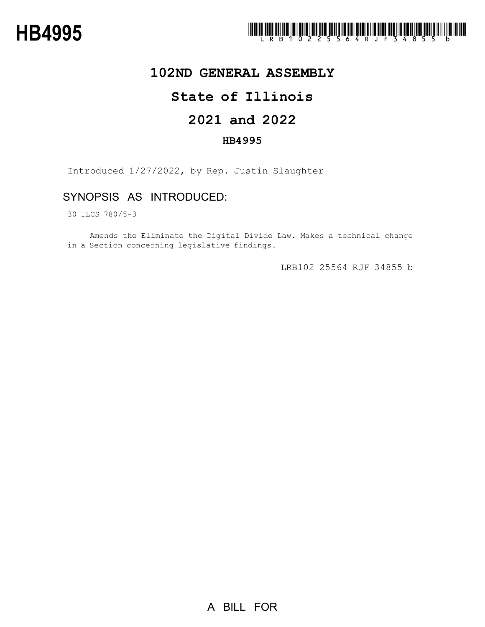

## **102ND GENERAL ASSEMBLY**

## **State of Illinois**

# **2021 and 2022**

### **HB4995**

Introduced 1/27/2022, by Rep. Justin Slaughter

## SYNOPSIS AS INTRODUCED:

30 ILCS 780/5-3

Amends the Eliminate the Digital Divide Law. Makes a technical change in a Section concerning legislative findings.

LRB102 25564 RJF 34855 b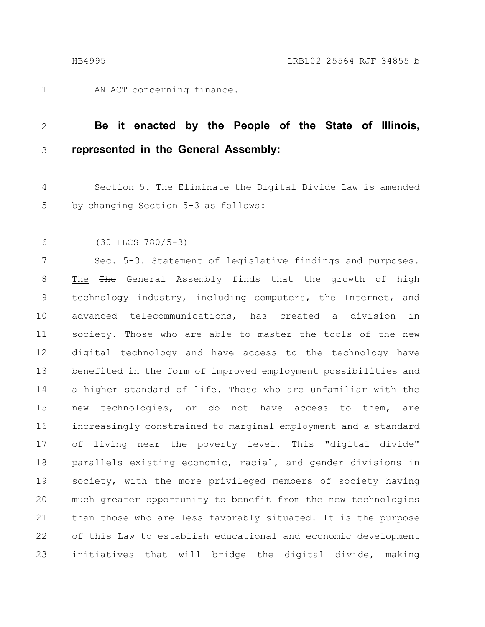AN ACT concerning finance. 1

#### **Be it enacted by the People of the State of Illinois, represented in the General Assembly:** 2 3

Section 5. The Eliminate the Digital Divide Law is amended by changing Section 5-3 as follows: 4 5

(30 ILCS 780/5-3) 6

Sec. 5-3. Statement of legislative findings and purposes. The The General Assembly finds that the growth of high technology industry, including computers, the Internet, and advanced telecommunications, has created a division in society. Those who are able to master the tools of the new digital technology and have access to the technology have benefited in the form of improved employment possibilities and a higher standard of life. Those who are unfamiliar with the new technologies, or do not have access to them, are increasingly constrained to marginal employment and a standard of living near the poverty level. This "digital divide" parallels existing economic, racial, and gender divisions in society, with the more privileged members of society having much greater opportunity to benefit from the new technologies than those who are less favorably situated. It is the purpose of this Law to establish educational and economic development initiatives that will bridge the digital divide, making 7 8 9 10 11 12 13 14 15 16 17 18 19 20 21 22 23